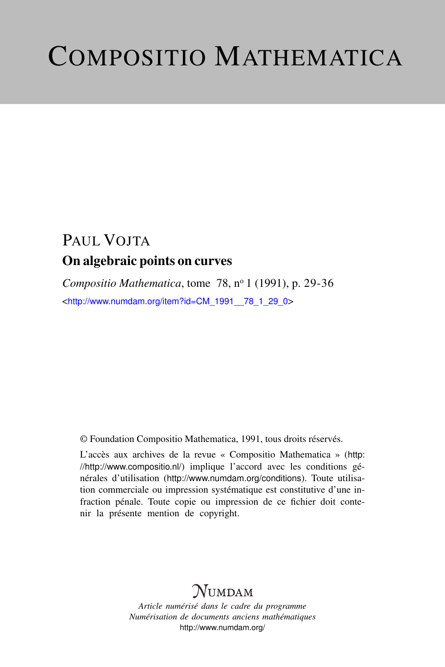# COMPOSITIO MATHEMATICA

# PAUL VOITA On algebraic points on curves

*Compositio Mathematica*, tome 78, n<sup>o</sup> 1 (1991), p. 29-36 <[http://www.numdam.org/item?id=CM\\_1991\\_\\_78\\_1\\_29\\_0](http://www.numdam.org/item?id=CM_1991__78_1_29_0)>

© Foundation Compositio Mathematica, 1991, tous droits réservés.

L'accès aux archives de la revue « Compositio Mathematica » ([http:](http://http://www.compositio.nl/) [//http://www.compositio.nl/](http://http://www.compositio.nl/)) implique l'accord avec les conditions générales d'utilisation (<http://www.numdam.org/conditions>). Toute utilisation commerciale ou impression systématique est constitutive d'une infraction pénale. Toute copie ou impression de ce fichier doit contenir la présente mention de copyright.

# NUMDAM

*Article numérisé dans le cadre du programme Numérisation de documents anciens mathématiques* <http://www.numdam.org/>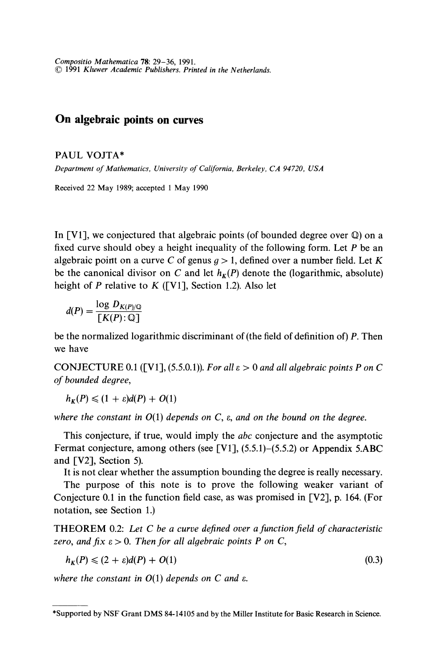29 Compositio Mathematica 78: 29-36, 1991. (C 1991 Kluwer Academic Publishers. Printed in the Netherlands.

## On algebraic points on curves

PAUL VOJTA\*

Department of Mathematics, University of California, Berkeley, CA 94720, USA

Received 22 May 1989; accepted 1 May 1990

In [V1], we conjectured that algebraic points (of bounded degree over  $\mathbb{Q}$ ) on a fixed curve should obey a height inequality of the following form. Let  $P$  be an algebraic point on a curve C of genus  $q > 1$ , defined over a number field. Let K be the canonical divisor on C and let  $h<sub>K</sub>(P)$  denote the (logarithmic, absolute) height of P relative to K ([V1], Section 1.2). Also let

$$
d(P) = \frac{\log D_{K(P)/\mathbb{Q}}}{\lceil K(P) : \mathbb{Q} \rceil}
$$

be the normalized logarithmic discriminant of (the field of definition of) P. Then we have

CONJECTURE 0.1 ([V1], (5.5.0.1)). For all  $\varepsilon > 0$  and all algebraic points P on C of bounded degree,

 $h_{\kappa}(P) \leq (1 + \varepsilon)d(P) + O(1)$ 

where the constant in  $O(1)$  depends on C,  $\varepsilon$ , and on the bound on the degree.

This conjecture, if true, would imply the *abc* conjecture and the asymptotic Fermat conjecture, among others (see [V1],  $(5.5.1)$ – $(5.5.2)$  or Appendix 5.ABC and [V2], Section 5).

It is not clear whether the assumption bounding the degree is really necessary.

The purpose of this note is to prove the following weaker variant of Conjecture 0.1 in the function field case, as was promised in [V2], p. 164. (For notation, see Section 1.)

THEOREM 0.2: Let C be a curve defined over a function field of characteristic zero, and fix  $\varepsilon > 0$ . Then for all algebraic points P on C,

$$
h_K(P) \leqslant (2 + \varepsilon)d(P) + O(1) \tag{0.3}
$$

where the constant in  $O(1)$  depends on C and  $\varepsilon$ .

<sup>\*</sup>Supported by NSF Grant DMS 84-14105 and by the Miller Institute for Basic Research in Science.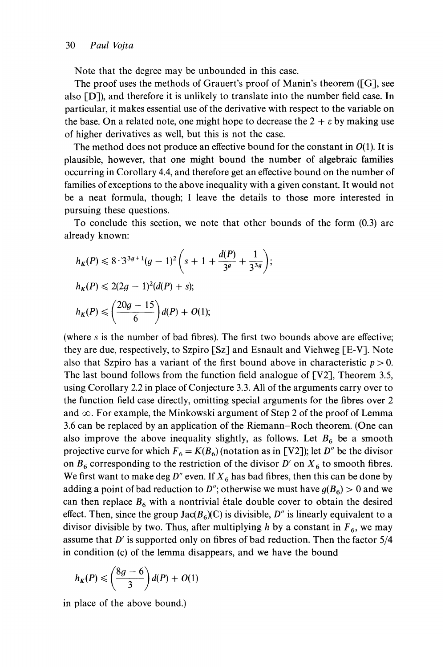Note that the degree may be unbounded in this case.

The proof uses the methods of Grauert's proof of Manin's theorem ([G], see also [D]), and therefore it is unlikely to translate into the number field case. In particular, it makes essential use of the derivative with respect to the variable on the base. On a related note, one might hope to decrease the  $2 + \varepsilon$  by making use of higher derivatives as well, but this is not the case.

The method does not produce an effective bound for the constant in  $O(1)$ . It is plausible, however, that one might bound the number of algebraic families occurring in Corollary 4.4, and therefore get an effective bound on the number of families of exceptions to the above inequality with a given constant. It would not be a neat formula, though; 1 leave the details to those more interested in pursuing these questions.

To conclude this section, we note that other bounds of the form (0.3) are already known:

 $\vdots$ 

$$
h_K(P) \leq 8 \cdot 3^{3g+1}(g-1)^2 \left(s+1+\frac{d(P)}{3^g}+\frac{1}{3^{3g}}\right)
$$
  

$$
h_K(P) \leq 2(2g-1)^2(d(P)+s);
$$
  

$$
h_K(P) \leq \left(\frac{20g-15}{6}\right)d(P)+O(1);
$$

(where s is the number of bad fibres). The first two bounds above are effective; they are due, respectively, to Szpiro [Sz] and Esnault and Viehweg [E-V]. Note also that Szpiro has a variant of the first bound above in characteristic  $p > 0$ . The last bound follows from the function field analogue of [V2], Theorem 3.5, using Corollary 2.2 in place of Conjecture 3.3. All of the arguments carry over to the function field case directly, omitting special arguments for the fibres over 2 and  $\infty$ . For example, the Minkowski argument of Step 2 of the proof of Lemma 3.6 can be replaced by an application of the Riemann-Roch theorem. (One can also improve the above inequality slightly, as follows. Let  $B_6$  be a smooth projective curve for which  $F_6 = K(B_6)$  (notation as in [V2]); let D'' be the divisor on  $B_6$  corresponding to the restriction of the divisor D' on  $X_6$  to smooth fibres. We first want to make deg D'' even. If  $X_6$  has bad fibres, then this can be done by adding a point of bad reduction to D"; otherwise we must have  $g(B_6) > 0$  and we can then replace  $B_6$  with a nontrivial étale double cover to obtain the desired effect. Then, since the group  $Jac(B_6)(\mathbb{C})$  is divisible, D" is linearly equivalent to a divisor divisible by two. Thus, after multiplying h by a constant in  $F_6$ , we may assume that D' is supported only on fibres of bad reduction. Then the factor 5/4 in condition (c) of the lemma disappears, and we have the bound

$$
h_K(P) \leqslant \left(\frac{8g-6}{3}\right)d(P) + O(1)
$$

in place of the above bound.)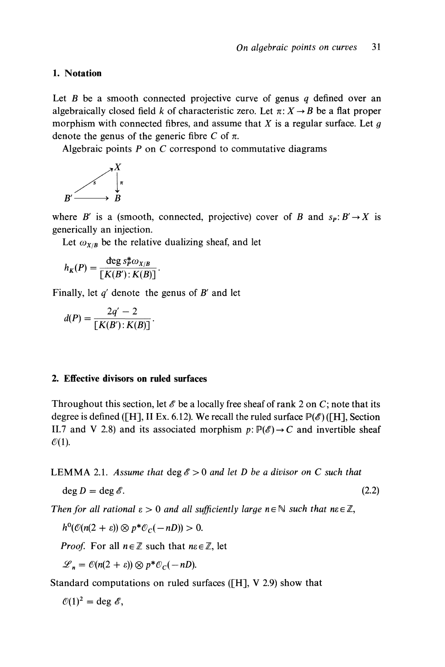#### 1. Notation

Let  $B$  be a smooth connected projective curve of genus  $q$  defined over an algebraically closed field k of characteristic zero. Let  $\pi: X \rightarrow B$  be a flat proper morphism with connected fibres, and assume that  $X$  is a regular surface. Let  $g$ denote the genus of the generic fibre C of  $\pi$ .

Algebraic points  $P$  on  $C$  correspond to commutative diagrams

$$
B' \xrightarrow{\qquad \qquad } B'
$$

where B' is a (smooth, connected, projective) cover of B and  $s_p: B' \to X$  is generically an injection.

Let  $\omega_{X/B}$  be the relative dualizing sheaf, and let

$$
h_K(P) = \frac{\deg s_P^* \omega_{X/B}}{[K(B'):K(B)]}.
$$

Finally, let  $q'$  denote the genus of  $B'$  and let

$$
d(P) = \frac{2q'-2}{[K(B') : K(B)]}.
$$

#### 2. Effective divisors on ruled surfaces

Throughout this section, let  $\mathscr E$  be a locally free sheaf of rank 2 on C; note that its degree is defined ([H], II Ex. 6.12). We recall the ruled surface  $\mathbb{P}(\mathscr{E})$  ([H], Section II.7 and V 2.8) and its associated morphism  $p: \mathbb{P}(\mathscr{E}) \to C$  and invertible sheaf  $\mathcal{O}(1)$ .

**LEMMA** 2.1. Assume that  $\deg \mathcal{E} > 0$  and let D be a divisor on C such that

$$
\deg D = \deg \mathscr{E}.\tag{2.2}
$$

Then for all rational  $\epsilon > 0$  and all sufficiently large  $n \in \mathbb{N}$  such that  $n\epsilon \in \mathbb{Z}$ ,

 $h^0(\mathcal{O}(n(2+\varepsilon))\otimes p^*\mathcal{O}_C(-nD))>0.$ 

*Proof.* For all  $n \in \mathbb{Z}$  such that  $n \in \mathbb{Z}$ , let

 $\mathcal{L}_n = \mathcal{O}(n(2+\varepsilon)) \otimes p^* \mathcal{O}_C(-nD).$ 

Standard computations on ruled surfaces ([H], V 2.9) show that

 $\mathcal{O}(1)^2 = \text{deg }\mathscr{E},$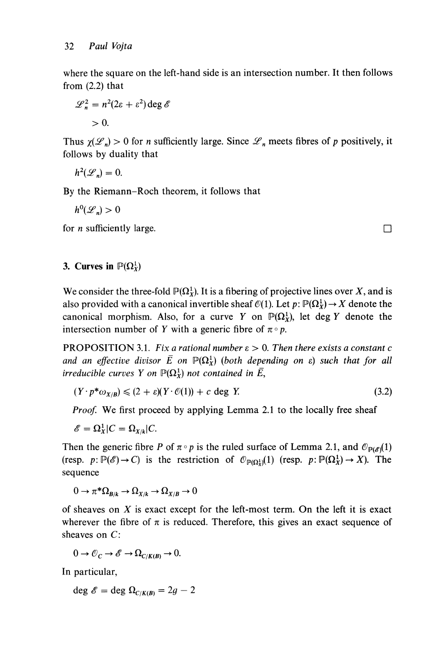where the square on the left-hand side is an intersection number. It then follows from (2.2) that

$$
\mathcal{L}_n^2 = n^2(2\varepsilon + \varepsilon^2) \deg \mathscr{E}
$$
  
> 0.

Thus  $\chi(\mathcal{L}_n) > 0$  for *n* sufficiently large. Since  $\mathcal{L}_n$  meets fibres of *p* positively, it follows by duality that

$$
h^2(\mathscr{L}_n)=0.
$$

By the Riemann-Roch theorem, it follows that

 $h^0(\mathscr{L}_n) > 0$ 

for *n* sufficiently large.

## 3. Curves in  $\mathbb{P}(\Omega^1_Y)$

We consider the three-fold  $\mathbb{P}(\Omega_X^1)$ . It is a fibering of projective lines over X, and is also provided with a canonical invertible sheaf  $\mathcal{O}(1)$ . Let  $p : \mathbb{P}(\Omega_X^1) \to X$  denote the canonical morphism. Also, for a curve Y on  $\mathbb{P}(\Omega^1_X)$ , let deg Y denote the intersection number of Y with a generic fibre of  $\pi \circ p$ .

**PROPOSITION** 3.1. Fix a rational number  $\varepsilon > 0$ . Then there exists a constant c and an effective divisor  $\overline{E}$  on  $\mathbb{P}(\Omega_\chi^1)$  (both depending on  $\varepsilon$ ) such that for all irreducible curves Y on  $\mathbb{P}(\Omega^1_X)$  not contained in  $\overline{E}$ ,

$$
(Y \cdot p^* \omega_{X/B}) \le (2 + \varepsilon)(Y \cdot \mathcal{O}(1)) + c \deg Y. \tag{3.2}
$$

Proof. We first proceed by applying Lemma 2.1 to the locally free sheaf

$$
\mathscr{E} = \Omega_X^1 | C = \Omega_{X/k} | C.
$$

Then the generic fibre P of  $\pi \circ p$  is the ruled surface of Lemma 2.1, and  $\mathcal{O}_{\mathbb{P}(\mathscr{E})}(1)$ (resp.  $p: \mathbb{P}(\mathscr{E}) \to C$ ) is the restriction of  $\mathcal{O}_{\mathbb{P}(\Omega^1)}(1)$  (resp.  $p: \mathbb{P}(\Omega^1_X) \to X$ ). The sequence

 $0 \to \pi^* \Omega_{R/k} \to \Omega_{X/k} \to \Omega_{X/R} \to 0$ 

of sheaves on  $X$  is exact except for the left-most term. On the left it is exact wherever the fibre of  $\pi$  is reduced. Therefore, this gives an exact sequence of sheaves on C:

$$
0 \to \mathcal{O}_C \to \mathscr{E} \to \Omega_{C/K(B)} \to 0.
$$

In particular,

deg  $\mathscr{E} =$  deg  $\Omega_{C/K(B)} = 2g - 2$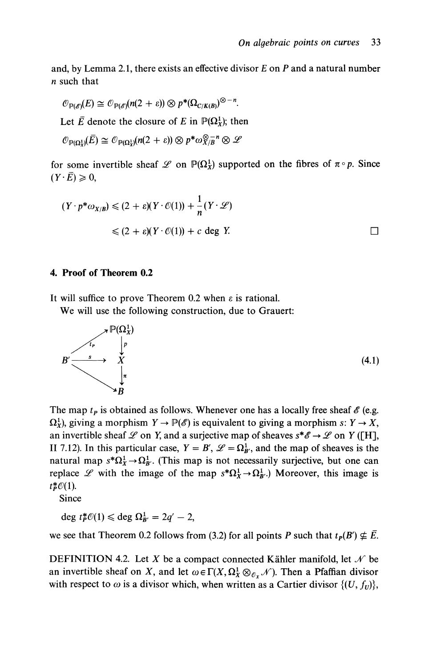and, by Lemma 2.1, there exists an effective divisor  $E$  on  $P$  and a natural number n such that

$$
\mathcal{O}_{\mathbb{P}(\mathscr{E})}(E) \cong \mathcal{O}_{\mathbb{P}(\mathscr{E})}(n(2+\varepsilon)) \otimes p^*(\Omega_{C/K(B)})^{\otimes -n}.
$$

Let E denote the closure of E in  $\mathbb{P}(\Omega_X^1)$ ; then

$$
\mathcal{O}_{\mathbb{P}(\Omega^1_X)}(\overline{E}) \cong \mathcal{O}_{\mathbb{P}(\Omega^1_X)}(n(2+\varepsilon)) \otimes p^* \omega_{X/B}^{\otimes -n} \otimes \mathscr{L}
$$

for some invertible sheaf  $\mathscr L$  on  $\mathbb P(\Omega^1)$  supported on the fibres of  $\pi \circ p$ . Since  $(Y \cdot \overline{E}) \geqslant 0$ ,

$$
(Y \cdot p^* \omega_{X/B}) \le (2 + \varepsilon)(Y \cdot \mathcal{O}(1)) + \frac{1}{n}(Y \cdot \mathcal{L})
$$
  
 
$$
\le (2 + \varepsilon)(Y \cdot \mathcal{O}(1)) + c \deg Y.
$$

### 4. Proof of Theorem 0.2

It will suffice to prove Theorem 0.2 when  $\varepsilon$  is rational.

We will use the following construction, due to Grauert:



The map  $t_p$  is obtained as follows. Whenever one has a locally free sheaf  $\mathscr E$  (e.g.  $\Omega_X^1$ , giving a morphism  $Y \to \mathbb{P}(\mathscr{E})$  is equivalent to giving a morphism s:  $Y \to X$ , an invertible sheaf  $\mathscr L$  on Y, and a surjective map of sheaves  $s^*\mathscr E \to \mathscr L$  on Y ([H], II 7.12). In this particular case,  $Y = B'$ ,  $\mathcal{L} = \Omega_{B'}^1$ , and the map of sheaves is the natural map  $s^*\Omega^1_X \to \Omega^1_{B'}$ . (This map is not necessarily surjective, but one can replace L with the image of the map  $s^*\Omega^1_X \to \Omega^1_{B'}$ .) Moreover, this image is  $t_p^* \mathcal{O}(1)$ .

Since

deg  $t_p^*\mathcal{O}(1) \leq \text{deg }\Omega^1_{B'} = 2q' - 2$ ,

we see that Theorem 0.2 follows from (3.2) for all points P such that  $t_P(B') \nsubseteq \overline{E}$ .

DEFINITION 4.2. Let X be a compact connected Kähler manifold, let  $\mathcal N$  be an invertible sheaf on X, and let  $\omega \in \Gamma(X, \Omega_X^1 \otimes_{\mathcal{O}_X} \mathcal{N})$ . Then a Pfaffian divisor with respect to  $\omega$  is a divisor which, when written as a Cartier divisor  $\{(U, f_U)\},$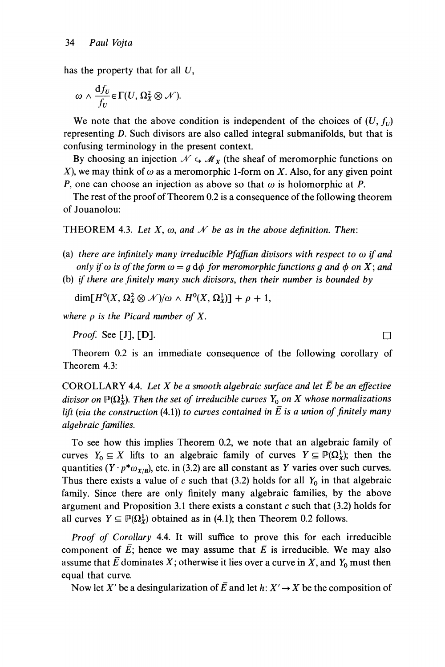has the property that for all  $U$ ,

$$
\omega \wedge \frac{\mathrm{d}f_U}{f_U} \in \Gamma(U, \Omega^2_X \otimes \mathcal{N}).
$$

We note that the above condition is independent of the choices of  $(U, f_U)$ representing D. Such divisors are also called integral submanifolds, but that is confusing terminology in the present context.

By choosing an injection  $\mathcal{N} \hookrightarrow \mathcal{M}_X$  (the sheaf of meromorphic functions on X), we may think of  $\omega$  as a meromorphic 1-form on X. Also, for any given point P, one can choose an injection as above so that  $\omega$  is holomorphic at P.

The rest of the proof of Theorem 0.2 is a consequence of the following theorem of Jouanolou:

THEOREM 4.3. Let X,  $\omega$ , and  $\mathcal N$  be as in the above definition. Then:

- (a) there are infinitely many irreducible Pfaffian divisors with respect to  $\omega$  if and only if  $\omega$  is of the form  $\omega = g d\phi$  for meromorphic functions g and  $\phi$  on X; and
- (b) if there are finitely many such divisors, then their number is bounded by

 $\dim[H^0(X, \Omega^2_X \otimes \mathcal{N})/\omega \wedge H^0(X, \Omega^1_Y)] + \rho + 1,$ 

where  $\rho$  is the Picard number of X.

*Proof.* See [J], [D].

Theorem 0.2 is an immediate consequence of the following corollary of Theorem 4.3:

COROLLARY 4.4. Let  $X$  be a smooth algebraic surface and let  $\overline{E}$  be an effective divisor on  $\mathbb{P}(\Omega^1_X)$ . Then the set of irreducible curves  $Y_0$  on X whose normalizations lift (via the construction (4.1)) to curves contained in  $\bar{E}$  is a union of finitely many algebraic families.

To see how this implies Theorem 0.2, we note that an algebraic family of curves  $Y_0 \subseteq X$  lifts to an algebraic family of curves  $Y \subseteq \mathbb{P}(\Omega_X^1)$ ; then the quantities ( $Y \cdot p^* \omega_{X/B}$ ), etc. in (3.2) are all constant as Y varies over such curves. Thus there exists a value of c such that (3.2) holds for all  $Y_0$  in that algebraic family. Since there are only finitely many algebraic families, by the above argument and Proposition 3.1 there exists a constant  $c$  such that (3.2) holds for all curves  $Y \subseteq \mathbb{P}(\Omega^1_X)$  obtained as in (4.1); then Theorem 0.2 follows.

Proof of Corollary 4.4. It will suffice to prove this for each irreducible component of  $\overline{E}$ ; hence we may assume that  $\overline{E}$  is irreducible. We may also assume that  $\overline{E}$  dominates X; otherwise it lies over a curve in X, and Y<sub>0</sub> must then equal that curve.

Now let X' be a desingularization of  $\overline{E}$  and let  $h: X' \to X$  be the composition of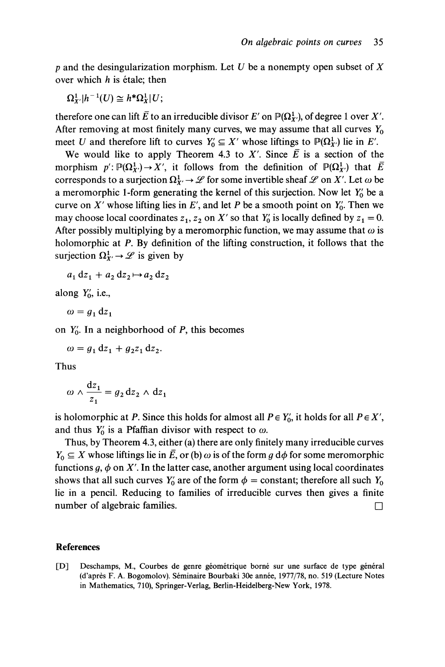p and the desingularization morphism. Let U be a nonempty open subset of X over which  $h$  is étale; then

$$
\Omega^1_{X'}|h^{-1}(U)\cong h^*\Omega^1_X|U;
$$

therefore one can lift  $\overline{E}$  to an irreducible divisor E' on  $\mathbb{P}(\Omega^1_Y)$ , of degree 1 over X'. After removing at most finitely many curves, we may assume that all curves  $Y_0$ meet U and therefore lift to curves  $Y_0 \subseteq X'$  whose liftings to  $\mathbb{P}(\Omega^1)$  lie in E'.

We would like to apply Theorem 4.3 to X'. Since  $\overline{E}$  is a section of the morphism  $p' : \mathbb{P}(\Omega^1_Y) \to X'$ , it follows from the definition of  $\mathbb{P}(\Omega^1_Y)$  that  $\overline{E}$ corresponds to a surjection  $\Omega^1_X \to \mathscr{L}$  for some invertible sheaf  $\mathscr{L}$  on X'. Let  $\omega$  be a meromorphic 1-form generating the kernel of this surjection. Now let  $Y_0'$  be a curve on  $X'$  whose lifting lies in  $E'$ , and let P be a smooth point on  $Y'_0$ . Then we may choose local coordinates  $z_1$ ,  $z_2$  on X' so that  $Y'_0$  is locally defined by  $z_1 = 0$ . After possibly multiplying by a meromorphic function, we may assume that  $\omega$  is holomorphic at P. By definition of the lifting construction, it follows that the surjection  $\Omega^1_{X'} \to \mathscr{L}$  is given by

$$
a_1 dz_1 + a_2 dz_2 \mapsto a_2 dz_2
$$

along  $Y'_0$ , i.e.,

$$
\omega = g_1 \, \mathrm{d} z_1
$$

on  $Y'_0$ . In a neighborhood of P, this becomes

$$
\omega = g_1 \, \mathrm{d}z_1 + g_2 z_1 \, \mathrm{d}z_2.
$$

Thus

$$
\omega \wedge \frac{\mathrm{d}z_1}{z_1} = g_2 \,\mathrm{d}z_2 \wedge \,\mathrm{d}z_1
$$

is holomorphic at P. Since this holds for almost all  $P \in Y'_0$ , it holds for all  $P \in X'$ , and thus  $Y_0'$  is a Pfaffian divisor with respect to  $\omega$ .

Thus, by Theorem 4.3, either (a) there are only finitely many irreducible curves  $Y_0 \subseteq X$  whose liftings lie in  $\overline{E}$ , or (b)  $\omega$  is of the form g d $\phi$  for some meromorphic functions  $g, \phi$  on X'. In the latter case, another argument using local coordinates shows that all such curves  $Y'_0$  are of the form  $\phi =$  constant; therefore all such  $Y_0$ lie in a pencil. Reducing to families of irreducible curves then gives a finite number of algebraic families.  $\Box$ 

#### References

[D] Deschamps, M., Courbes de genre géométrique borné sur une surface de type général (d'après F. A. Bogomolov). Séminaire Bourbaki 30e année, 1977/78, no. 519 (Lecture Notes in Mathematics, 710), Springer-Verlag, Berlin-Heidelberg-New York, 1978.